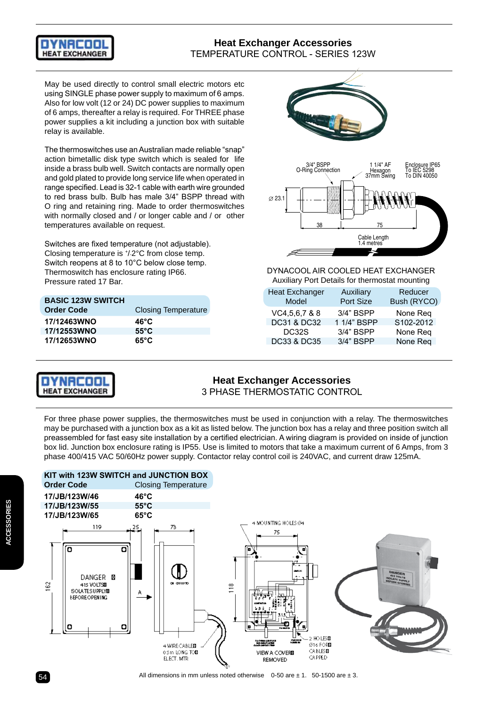

## **Heat Exchanger Accessories** TEMPERATURE CONTROL - SERIES 123W

May be used directly to control small electric motors etc using SINGLE phase power supply to maximum of 6 amps. Also for low volt (12 or 24) DC power supplies to maximum of 6 amps, thereafter a relay is required. For THREE phase power supplies a kit including a junction box with suitable relay is available.

The thermoswitches use an Australian made reliable "snap" action bimetallic disk type switch which is sealed for life inside a brass bulb well. Switch contacts are normally open and gold plated to provide long service life when operated in range specified. Lead is 32-1 cable with earth wire grounded to red brass bulb. Bulb has male 3/4" BSPP thread with O ring and retaining ring. Made to order thermoswitches with normally closed and / or longer cable and / or other temperatures available on request.

Switches are fixed temperature (not adjustable). Closing temperature is +/-2°C from close temp. Switch reopens at 8 to 10°C below close temp. Thermoswitch has enclosure rating IP66. Pressure rated 17 Bar.

| <b>BASIC 123W SWITCH</b><br><b>Order Code</b> | <b>Closing Temperature</b> |
|-----------------------------------------------|----------------------------|
| 17/12463WNO                                   | 46°C                       |
| 17/12553WNO                                   | $55^{\circ}$ C             |
| 17/12653WNO                                   | 65°C                       |



DYNACOOL DYNACOOL AIR COOLED HEAT EXCHANGER Auxiliary Port Details for thermostat mounting

| <b>Heat Exchanger</b>  | Auxiliary   | Reducer     |
|------------------------|-------------|-------------|
| Model                  | Port Size   | Bush (RYCO) |
| VC4,5,6,7 & 8          | 3/4" BSPP   | None Reg    |
| <b>DC31 &amp; DC32</b> | 1 1/4" BSPP | S102-2012   |
| DC32S                  | 3/4" BSPP   | None Reg    |
| DC33 & DC35            | 3/4" BSPP   | None Req    |
|                        |             |             |



## **Heat Exchanger Accessories** 3 PHASE THERMOSTATIC CONTROL

For three phase power supplies, the thermoswitches must be used in conjunction with a relay. The thermoswitches may be purchased with a junction box as a kit as listed below. The junction box has a relay and three position switch all preassembled for fast easy site installation by a certified electrician. A wiring diagram is provided on inside of junction box lid. Junction box enclosure rating is IP55. Use is limited to motors that take a maximum current of 6 Amps, from 3 phase 400/415 VAC 50/60Hz power supply. Contactor relay control coil is 240VAC, and current draw 125mA.

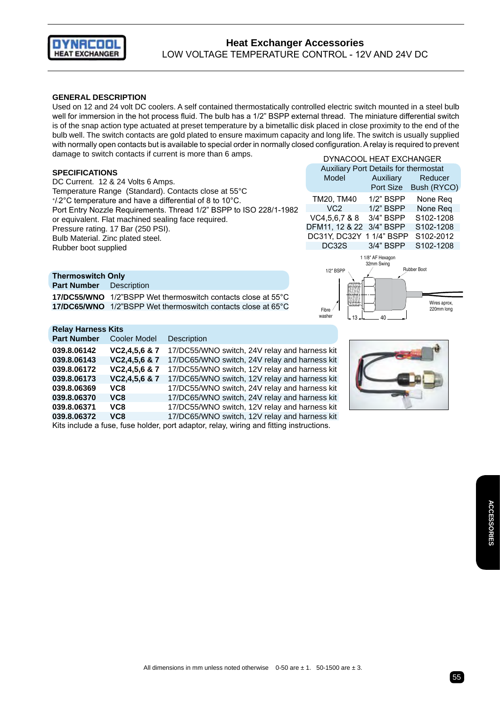

## **Heat Exchanger Accessories** LOW VOLTAGE TEMPERATURE CONTROL - 12V and 24V DC

### **GENERAL DESCRIPTION**

Used on 12 and 24 volt DC coolers. A self contained thermostatically controlled electric switch mounted in a steel bulb well for immersion in the hot process fluid. The bulb has a 1/2" BSPP external thread. The miniature differential switch is of the snap action type actuated at preset temperature by a bimetallic disk placed in close proximity to the end of the bulb well. The switch contacts are gold plated to ensure maximum capacity and long life. The switch is usually supplied with normally open contacts but is available to special order in normally closed configuration. A relay is required to prevent damage to switch contacts if current is more than 6 amps.

### **SPECIFICATIONS**

DC Current. 12 & 24 Volts 6 Amps. Temperature Range (Standard). Contacts close at 55°C +/-2°C temperature and have a differential of 8 to 10°C. Port Entry Nozzle Requirements. Thread 1/2" BSPP to ISO 228/1-1982 or equivalent. Flat machined sealing face required. Pressure rating. 17 Bar (250 PSI). Bulb Material. Zinc plated steel. Rubber boot supplied

|                                       | DYNACOOL HEAT EXCHANGER  |              |                       |  |  |  |
|---------------------------------------|--------------------------|--------------|-----------------------|--|--|--|
| Auxiliary Port Details for thermostat |                          |              |                       |  |  |  |
|                                       | Model                    | Auxiliary    | Reducer               |  |  |  |
|                                       |                          |              | Port Size Bush (RYCO) |  |  |  |
|                                       | TM20, TM40               | 1/2" BSPP    | None Req              |  |  |  |
|                                       | VC2                      | $1/2$ " BSPP | None Req              |  |  |  |
|                                       | VC4,5,6,7 & 8            | 3/4" BSPP    | S102-1208             |  |  |  |
|                                       | DFM11, 12 & 22 3/4" BSPP |              | S102-1208             |  |  |  |
|                                       | DC31Y, DC32Y 1 1/4" BSPP |              | S102-2012             |  |  |  |
|                                       | $DC32S$ $3/4"$ RSPP      |              | S <sub>102-1208</sub> |  |  |  |

### **Thermoswitch Only**

**Part Number** Description

**17/DC55/WNO** 1/2"BSPP Wet thermoswitch contacts close at 55°C **17/DC65/WNO** 1/2"BSPP Wet thermoswitch contacts close at 65°C

| DC32S                        | $3/4"$ BSPP                     | S <sub>102</sub> -1208                    |
|------------------------------|---------------------------------|-------------------------------------------|
| 1/2" BSPP<br>Fibre<br>washer | 1 1/8" AF Hexagon<br>32mm Swing | Rubber Boot<br>Wires aprox,<br>220mm long |

### **Relay Harness Kits**

| <b>Part Number</b> | <b>Cooler Model</b> | <b>Description</b>                            |
|--------------------|---------------------|-----------------------------------------------|
| 039.8.06142        | VC2,4,5,6 & 7       | 17/DC55/WNO switch, 24V relay and harness kit |
| 039.8.06143        | VC2,4,5,6 & 7       | 17/DC65/WNO switch, 24V relay and harness kit |
| 039.8.06172        | VC2,4,5,6 & 7       | 17/DC55/WNO switch, 12V relay and harness kit |
| 039.8.06173        | VC2,4,5,6 & 7       | 17/DC65/WNO switch, 12V relay and harness kit |
| 039.8.06369        | VC8                 | 17/DC55/WNO switch, 24V relay and harness kit |
| 039.8.06370        | VC8                 | 17/DC65/WNO switch, 24V relay and harness kit |
| 039.8.06371        | VC8                 | 17/DC55/WNO switch, 12V relay and harness kit |
| 039.8.06372        | VC8                 | 17/DC65/WNO switch, 12V relay and harness kit |
|                    |                     |                                               |

Kits include a fuse, fuse holder, port adaptor, relay, wiring and fitting instructions.

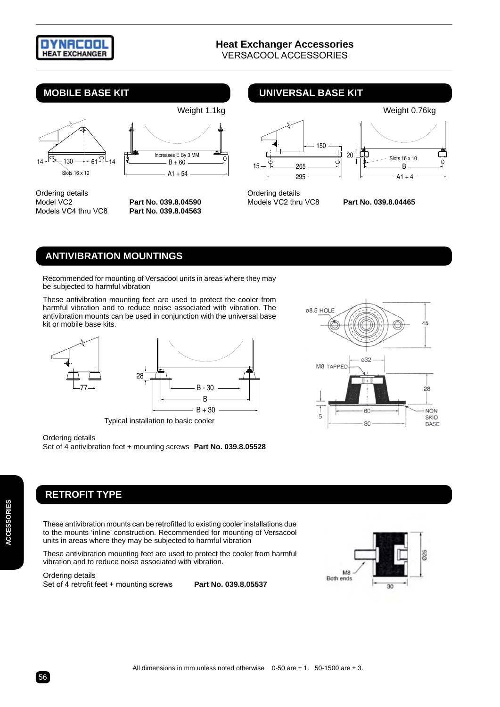

# **Heat Exchanger Accessories**

VERSACOOL ACCESSORIES



Ordering details<br>Model VC2 Model VC2 **Part No. 039.8.04590**



Part No. 039.8.04563

# **Mobile base kit Universal base kit**



Ordering details



# **Antivibration mountings**

Recommended for mounting of Versacool units in areas where they may be subjected to harmful vibration

These antivibration mounting feet are used to protect the cooler from harmful vibration and to reduce noise associated with vibration. The antivibration mounts can be used in conjunction with the universal base kit or mobile base kits.



Typical installation to basic cooler

## 08.5 HOLE 45  $0.32$ M8 TAPPED π.  $28$ **NON** 60 5 SKID 80 BASE

### Ordering details

Set of 4 antivibration feet + mounting screws **Part No. 039.8.05528**

# **Retrofit type**

These antivibration mounts can be retrofitted to existing cooler installations due to the mounts 'inline' construction. Recommended for mounting of Versacool units in areas where they may be subjected to harmful vibration

These antivibration mounting feet are used to protect the cooler from harmful vibration and to reduce noise associated with vibration.

Ordering details Set of 4 retrofit feet + mounting screws **Part No. 039.8.05537**

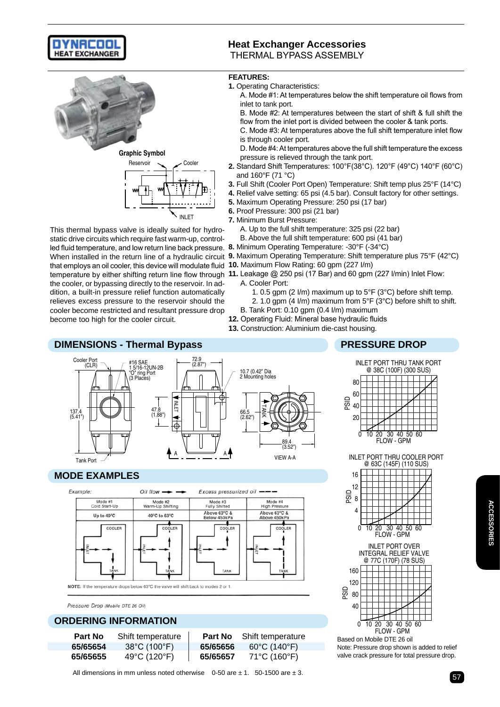





This thermal bypass valve is ideally suited for hydrostatic drive circuits which require fast warm-up, controlled fluid temperature, and low return line back pressure. **8.** Minimum Operating Temperature: -30°F (-34°C) that employs an oil cooler, this device will modulate fluid **10.** Maximum Flow Rating: 60 gpm (227 I/m) the cooler, or bypassing directly to the reservoir. In addition, a built-in pressure relief function automatically relieves excess pressure to the reservoir should the cooler become restricted and resultant pressure drop become too high for the cooler circuit.

# **Heat Exchanger Accessories**

THERMAL BYPASS ASSEMBLY

### **FEATURES:**

**1.** Operating Characteristics:

A. Mode #1: At temperatures below the shift temperature oil flows from inlet to tank port.

B. Mode #2: At temperatures between the start of shift & full shift the flow from the inlet port is divided between the cooler & tank ports.

C. Mode #3: At temperatures above the full shift temperature inlet flow is through cooler port.

D. Mode #4: At temperatures above the full shift temperature the excess pressure is relieved through the tank port.

- **2.** Standard Shift Temperatures: 100°F(38°C). 120°F (49°C) 140°F (60°C) and 160°F (71 °C)
- **3.** Full Shift (Cooler Port Open) Temperature: Shift temp plus 25°F (14°C)
- **4.** Relief valve setting: 65 psi (4.5 bar). Consult factory for other settings.
- **5.** Maximum Operating Pressure: 250 psi (17 bar)
- **6.** Proof Pressure: 300 psi (21 bar)
- **7.** Minimum Burst Pressure:
	- A. Up to the full shift temperature: 325 psi (22 bar)
- B. Above the full shift temperature: 600 psi (41 bar)
- 
- When installed in the return line of a hydraulic circuit **9.** Maximum Operating Temperature: Shift temperature plus 75°F (42°C)
	-
- temperature by either shifting return line flow through **11.** Leakage @ 250 psi (17 Bar) and 60 gpm (227 l/min) Inlet Flow: A. Cooler Port:
	- 1. 0.5 gpm (2 I/m) maximum up to 5°F (3°C) before shift temp.
	- 2. 1.0 gpm (4 I/m) maximum from 5°F (3°C) before shift to shift.

16 12 ខ្ល<br>ខ្លួ <sub>8</sub> 4

PSID

- B. Tank Port: 0.10 gpm (0.4 I/m) maximum
- **12.** Operating Fluid: Mineral base hydraulic fluids
- **13.** Construction: Aluminium die-cast housing.

## **DIMENSIONS - Thermal Bypass PRESSURE DROP**









0 10 20 30 40 50 60 FLOW - GPM

INLET PORT OVER INTEGRAL RELIEF VALVE @ 77C (170F) (78 SUS)

Based on Mobile DTE 26 oil

Note: Pressure drop shown is added to relief valve crack pressure for total pressure drop.

0 10 20 30 40 50 60

FLOW - GPM

## **Mode examples**



NOTE: If the temperature drops below 63°C the valve will shift back to modes 2 or 1

Pressure Drop (Mobile DTE 26 Oil)

### **Ordering Information**

**Part No** Shift temperature **Part No** Shift temperature<br>**65/65654** 38°C (100°F) 65/65656 60°C (140°F) **65/65654** 38°C (100°F) **65/65656** 60°C (140°F) **65/65655** 49°C (120°F) **65/65657** 71°C (160°F)

 $\frac{1}{57}$  SM directions in this direct below one wise  $\frac{6}{57}$  of arc  $\pm$  1. Section arc  $\pm$  5. All dimensions in mm unless noted otherwise  $0-50$  are  $\pm 1$ . 50-1500 are  $\pm 3$ .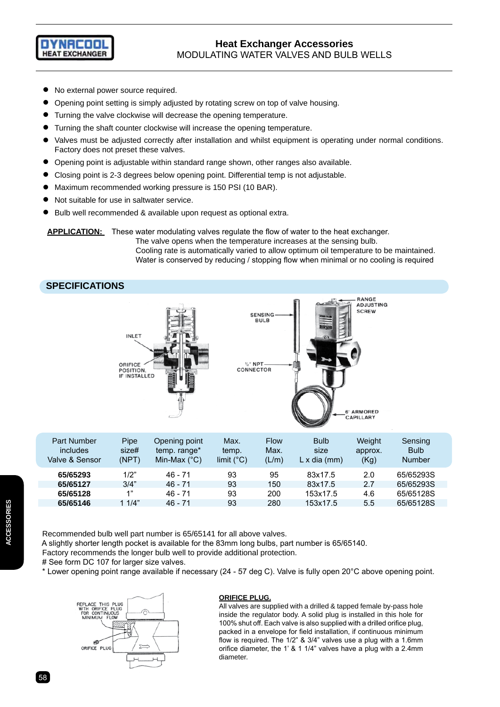

# **Heat Exchanger Accessories** MODULATING WATER VALVES AND BULB WELLS

- No external power source required.
- Opening point setting is simply adjusted by rotating screw on top of valve housing.
- Turning the valve clockwise will decrease the opening temperature.
- Turning the shaft counter clockwise will increase the opening temperature.
- Valves must be adjusted correctly after installation and whilst equipment is operating under normal conditions. Factory does not preset these valves.
- Opening point is adjustable within standard range shown, other ranges also available.
- Closing point is 2-3 degrees below opening point. Differential temp is not adjustable.
- Maximum recommended working pressure is 150 PSI (10 BAR).
- Not suitable for use in saltwater service.
- Bulb well recommended & available upon request as optional extra.

**APPLICATION:** These water modulating valves regulate the flow of water to the heat exchanger.

 The valve opens when the temperature increases at the sensing bulb. Cooling rate is automatically varied to allow optimum oil temperature to be maintained. Water is conserved by reducing / stopping flow when minimal or no cooling is required

## **SPECIFICATIONS**



| <b>Part Number</b><br>includes<br>Valve & Sensor | Pipe<br>size#<br>(NPT) | Opening point<br>temp. range*<br>Min-Max $(^{\circ}C)$ | Max.<br>temp.<br>limit $(^{\circ}C)$ | <b>Flow</b><br>Max.<br>(L/m) | <b>Bulb</b><br>size<br>$L \times$ dia (mm) | Weight<br>approx.<br>(Kg) | Sensing<br><b>Bulb</b><br><b>Number</b> |
|--------------------------------------------------|------------------------|--------------------------------------------------------|--------------------------------------|------------------------------|--------------------------------------------|---------------------------|-----------------------------------------|
| 65/65293                                         | 1/2"                   | 46 - 71                                                | 93                                   | 95                           | 83x17.5                                    | 2.0                       | 65/65293S                               |
| 65/65127                                         | 3/4"                   | $46 - 71$                                              | 93                                   | 150                          | 83x17.5                                    | 2.7                       | 65/65293S                               |
| 65/65128                                         | 1"                     | 46 - 71                                                | 93                                   | 200                          | 153x17.5                                   | 4.6                       | 65/65128S                               |
| 65/65146                                         | 1 $1/4"$               | $46 - 71$                                              | 93                                   | 280                          | 153x17.5                                   | 5.5                       | 65/65128S                               |

Recommended bulb well part number is 65/65141 for all above valves.

A slightly shorter length pocket is available for the 83mm long bulbs, part number is 65/65140.

Factory recommends the longer bulb well to provide additional protection.

# See form DC 107 for larger size valves.

\* Lower opening point range available if necessary (24 - 57 deg C). Valve is fully open 20°C above opening point.



### **ORIFICE PLUG.**

All valves are supplied with a drilled & tapped female by-pass hole inside the regulator body. A solid plug is installed in this hole for 100% shut off. Each valve is also supplied with a drilled orifice plug, packed in a envelope for field installation, if continuous minimum flow is required. The 1/2" & 3/4" valves use a plug with a 1.6mm orifice diameter, the 1' & 1 1/4" valves have a plug with a 2.4mm diameter.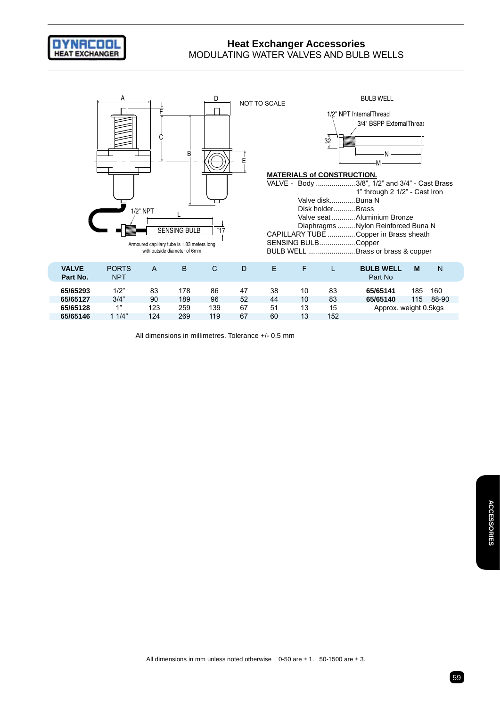

# **Heat Exchanger Accessories** MODULATING WATER VALVES AND BULB WELLS



All dimensions in millimetres. Tolerance +/- 0.5 mm